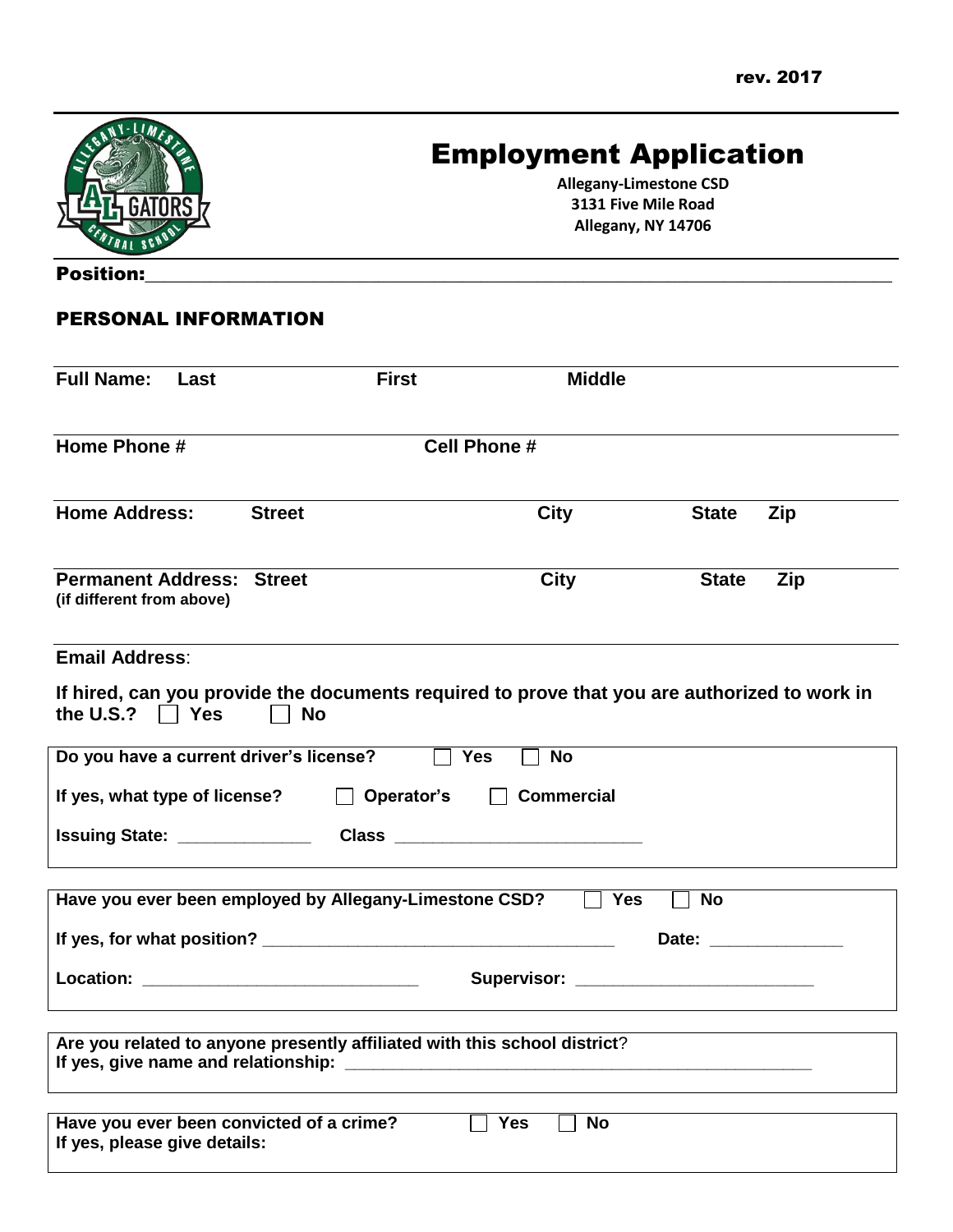

# Employment Application

**Allegany-Limestone CSD 3131 Five Mile Road Allegany, NY 14706**

Position:

### PERSONAL INFORMATION

| <b>Full Name:</b><br>Last                                                | <b>First</b>                                                                                              | <b>Middle</b>                                 |              |     |
|--------------------------------------------------------------------------|-----------------------------------------------------------------------------------------------------------|-----------------------------------------------|--------------|-----|
| Home Phone #                                                             |                                                                                                           | <b>Cell Phone #</b>                           |              |     |
| <b>Home Address:</b>                                                     | <b>Street</b>                                                                                             | <b>City</b>                                   | <b>State</b> | Zip |
| <b>Permanent Address: Street</b><br>(if different from above)            |                                                                                                           | <b>City</b>                                   | <b>State</b> | Zip |
| <b>Email Address:</b>                                                    |                                                                                                           |                                               |              |     |
| the U.S.? $\Box$ Yes                                                     | If hired, can you provide the documents required to prove that you are authorized to work in<br><b>No</b> |                                               |              |     |
| Do you have a current driver's license?                                  |                                                                                                           | <b>Yes</b><br><b>No</b>                       |              |     |
| If yes, what type of license?                                            | $\Box$ Operator's                                                                                         | <b>Commercial</b><br>$\perp$                  |              |     |
|                                                                          |                                                                                                           |                                               |              |     |
|                                                                          | Have you ever been employed by Allegany-Limestone CSD?                                                    | $\Box$ Yes                                    | <b>No</b>    |     |
|                                                                          |                                                                                                           |                                               |              |     |
|                                                                          |                                                                                                           | Supervisor: <u>__________________________</u> |              |     |
|                                                                          | Are you related to anyone presently affiliated with this school district?                                 |                                               |              |     |
| Have you ever been convicted of a crime?<br>If yes, please give details: |                                                                                                           | <b>Yes</b><br><b>No</b>                       |              |     |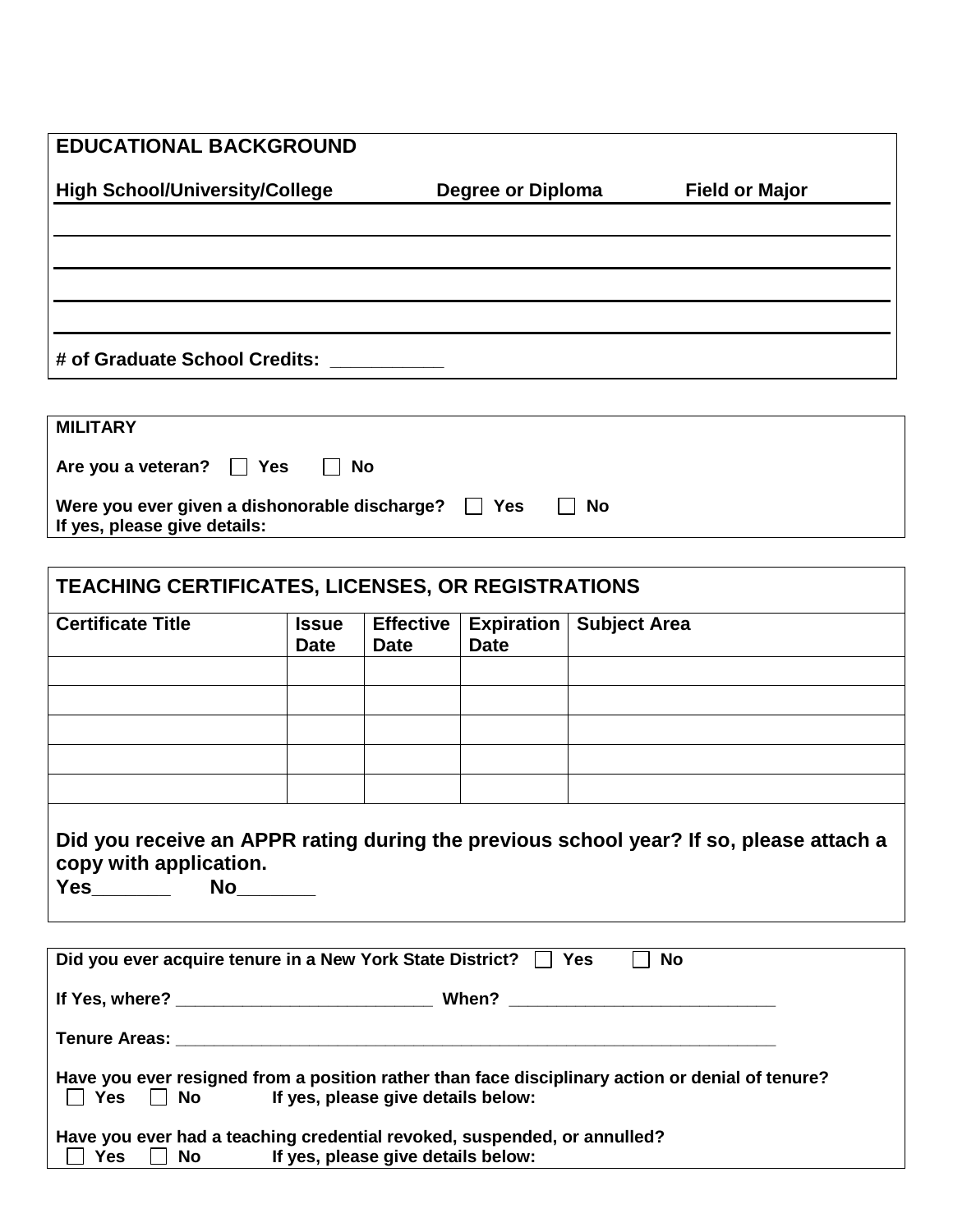| <b>EDUCATIONAL BACKGROUND</b>         |                          |                       |
|---------------------------------------|--------------------------|-----------------------|
| <b>High School/University/College</b> | <b>Degree or Diploma</b> | <b>Field or Major</b> |
|                                       |                          |                       |
|                                       |                          |                       |
|                                       |                          |                       |
|                                       |                          |                       |
| # of Graduate School Credits:         |                          |                       |

| <b>MILITARY</b>                                                                          |    |
|------------------------------------------------------------------------------------------|----|
| Are you a veteran? $\Box$ Yes<br>IINo                                                    |    |
| Were you ever given a dishonorable discharge? $\Box$ Yes<br>If yes, please give details: | No |

| <b>Certificate Title</b>                                                                                            | <b>Issue</b><br><b>Date</b> | <b>Effective</b><br><b>Date</b> | <b>Expiration</b><br><b>Date</b> | <b>Subject Area</b>                                                                    |
|---------------------------------------------------------------------------------------------------------------------|-----------------------------|---------------------------------|----------------------------------|----------------------------------------------------------------------------------------|
|                                                                                                                     |                             |                                 |                                  |                                                                                        |
|                                                                                                                     |                             |                                 |                                  |                                                                                        |
|                                                                                                                     |                             |                                 |                                  |                                                                                        |
|                                                                                                                     |                             |                                 |                                  |                                                                                        |
|                                                                                                                     |                             |                                 |                                  | Did you receive an APPR rating during the previous school year? If so, please attach a |
| copy with application.<br>Yes________  No_______<br>Did you ever acquire tenure in a New York State District?   Yes |                             |                                 |                                  | $\Box$ No                                                                              |
|                                                                                                                     |                             |                                 |                                  |                                                                                        |
|                                                                                                                     |                             |                                 |                                  |                                                                                        |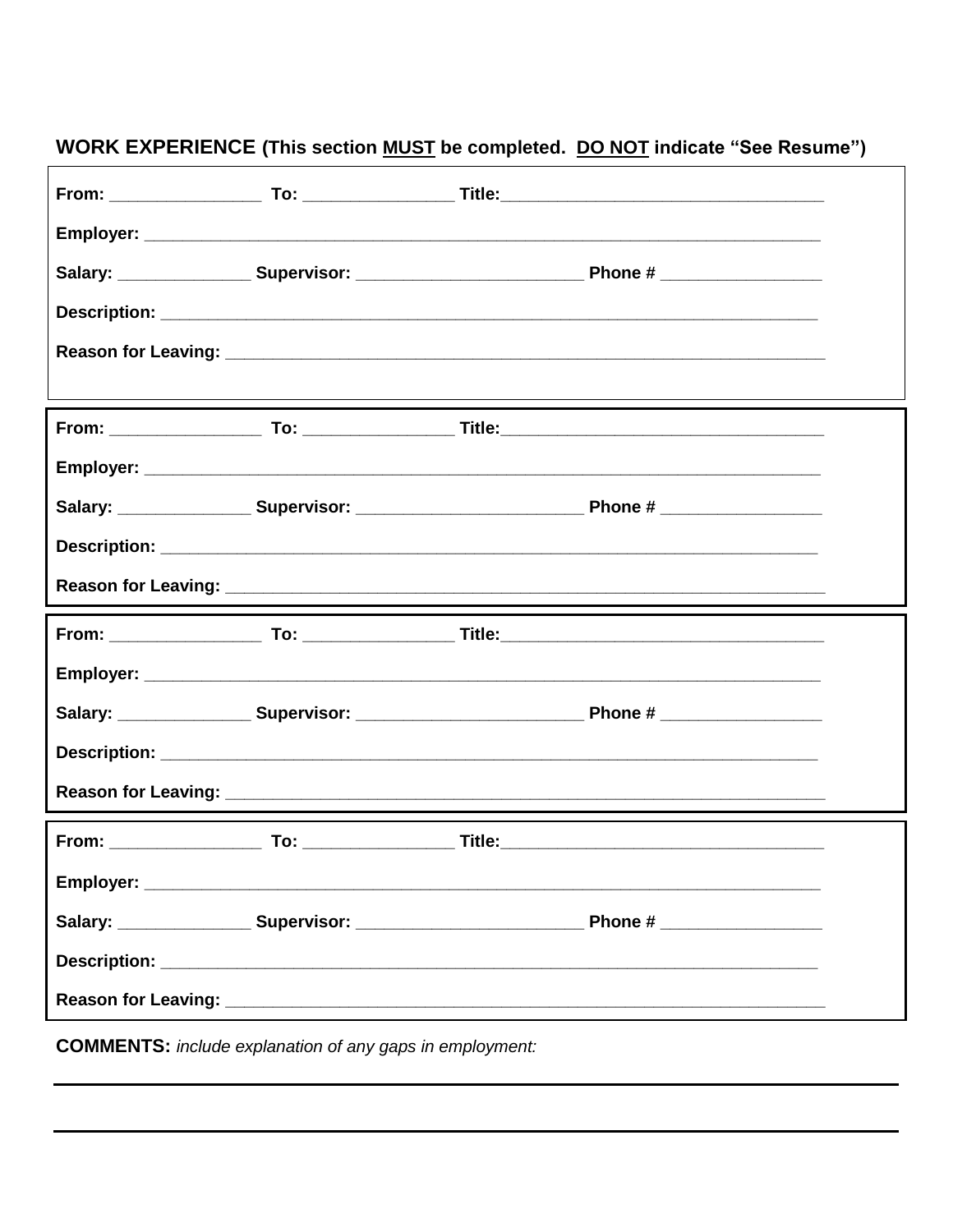## **WORK EXPERIENCE (This section MUST be completed. DO NOT indicate "See Resume")**

**COMMENTS:** include explanation of any gaps in employment: